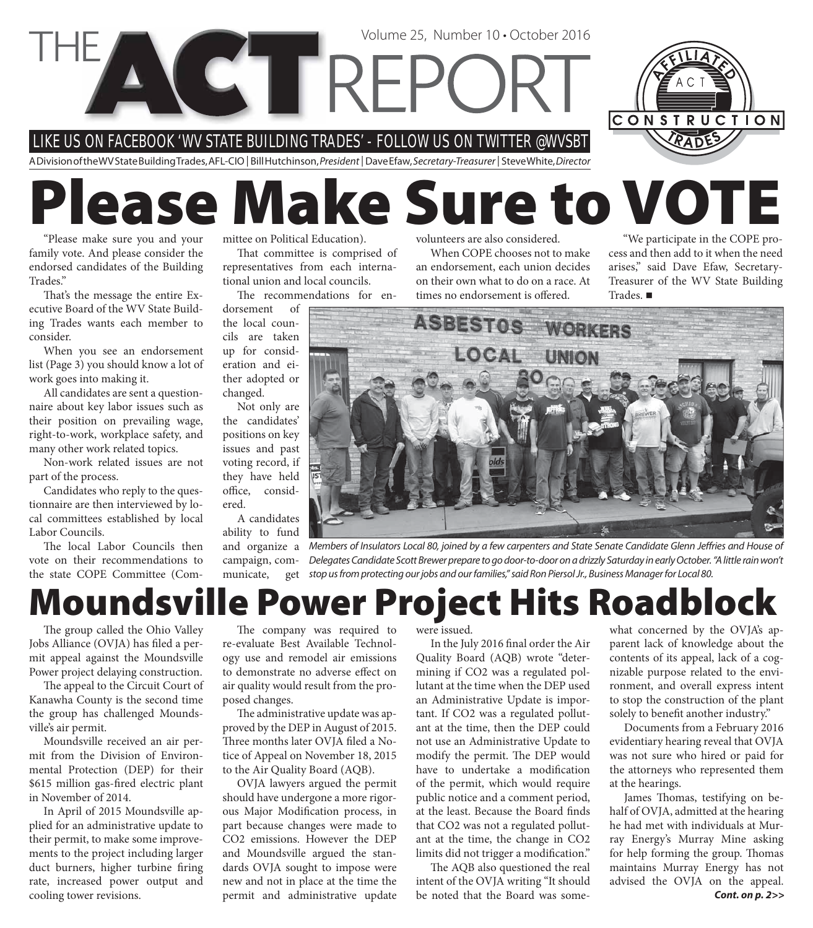LIKE US ON FACEBOOK ' WV STATE BUILDING TRADES' - FOLLOW US ON T WIT TER @WVSBT

CTTRE

A Division of the WV State Building Trades, AFL-CIO | Bill Hutchinson, President | Dave Efaw, Secretary-Treasurer | Steve White, Director

# **Please Make Sure to VOTE**

"Please make sure you and your family vote. And please consider the endorsed candidates of the Building Trades."

That's the message the entire Executive Board of the WV State Building Trades wants each member to consider.

When you see an endorsement list (Page 3) you should know a lot of work goes into making it.

All candidates are sent a questionnaire about key labor issues such as their position on prevailing wage, right-to-work, workplace safety, and many other work related topics.

Non-work related issues are not part of the process.

Candidates who reply to the questionnaire are then interviewed by local committees established by local Labor Councils.

The local Labor Councils then vote on their recommendations to the state COPE Committee (Committee on Political Education).

That committee is comprised of representatives from each international union and local councils.

The recommendations for en-

dorsement of the local councils are taken up for consideration and either adopted or changed.

Not only are the candidates' positions on key issues and past voting record, if they have held office, considered.

A candidates ability to fund

and organize a campaign, communicate, get

volunteers are also considered.

Volume 25, Number 10 • October 2016

When COPE chooses not to make an endorsement, each union decides on their own what to do on a race. At times no endorsement is offered.

"We participate in the COPE process and then add to it when the need arises," said Dave Efaw, Secretary-Treasurer of the WV State Building Trades.

CONSTRUCTION



Members of Insulators Local 80, joined by a few carpenters and State Senate Candidate Glenn Jeffries and House of Delegates Candidate Scott Brewer prepare to go door-to-door on a drizzly Saturday in early October. "A little rain won't stop us from protecting our jobs and our families," said Ron Piersol Jr., Business Manager for Local 80.

## **Moundsville Power Project Hits Roadblock**

The group called the Ohio Valley Jobs Alliance (OVJA) has filed a permit appeal against the Moundsville Power project delaying construction.

The appeal to the Circuit Court of Kanawha County is the second time the group has challenged Moundsville's air permit.

Moundsville received an air permit from the Division of Environmental Protection (DEP) for their \$615 million gas-fired electric plant in November of 2014.

In April of 2015 Moundsville applied for an administrative update to their permit, to make some improvements to the project including larger duct burners, higher turbine firing rate, increased power output and cooling tower revisions.

The company was required to re-evaluate Best Available Technology use and remodel air emissions to demonstrate no adverse effect on air quality would result from the proposed changes.

The administrative update was approved by the DEP in August of 2015. Three months later OVJA filed a Notice of Appeal on November 18, 2015 to the Air Quality Board (AQB).

OVJA lawyers argued the permit should have undergone a more rigorous Major Modification process, in part because changes were made to CO2 emissions. However the DEP and Moundsville argued the standards OVJA sought to impose were new and not in place at the time the permit and administrative update were issued.

In the July 2016 final order the Air Quality Board (AQB) wrote "determining if CO2 was a regulated pollutant at the time when the DEP used an Administrative Update is important. If CO2 was a regulated pollutant at the time, then the DEP could not use an Administrative Update to modify the permit. The DEP would have to undertake a modification of the permit, which would require public notice and a comment period, at the least. Because the Board finds that CO2 was not a regulated pollutant at the time, the change in CO2 limits did not trigger a modification."

The AQB also questioned the real intent of the OVJA writing "It should be noted that the Board was somewhat concerned by the OVJA's apparent lack of knowledge about the contents of its appeal, lack of a cognizable purpose related to the environment, and overall express intent to stop the construction of the plant solely to benefit another industry."

Documents from a February 2016 evidentiary hearing reveal that OVJA was not sure who hired or paid for the attorneys who represented them at the hearings.

*Cont. on p. 2>>* James Thomas, testifying on behalf of OVJA, admitted at the hearing he had met with individuals at Murray Energy's Murray Mine asking for help forming the group. Thomas maintains Murray Energy has not advised the OVJA on the appeal.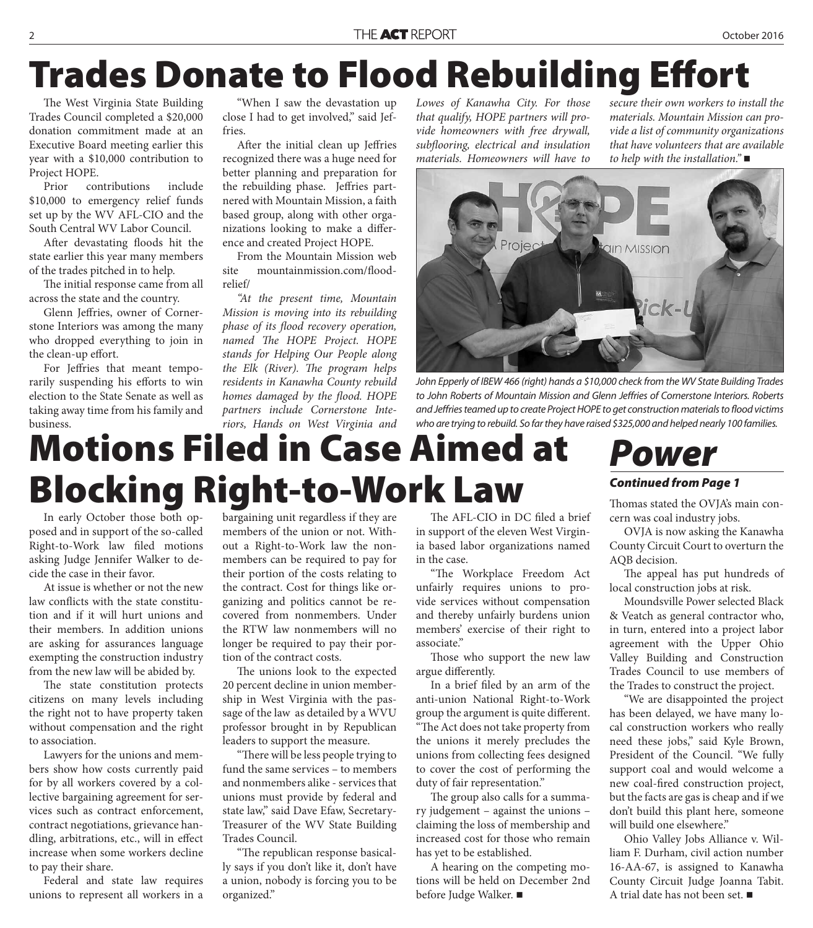## **Trades Donate to Flood Rebuilding Effort**

The West Virginia State Building Trades Council completed a \$20,000 donation commitment made at an Executive Board meeting earlier this year with a \$10,000 contribution to Project HOPE.

Prior contributions include \$10,000 to emergency relief funds set up by the WV AFL-CIO and the South Central WV Labor Council.

After devastating floods hit the state earlier this year many members of the trades pitched in to help.

The initial response came from all across the state and the country.

Glenn Jeffries, owner of Cornerstone Interiors was among the many who dropped everything to join in the clean-up effort.

For Jeffries that meant temporarily suspending his efforts to win election to the State Senate as well as taking away time from his family and business.

"When I saw the devastation up close I had to get involved," said Jeffries.

After the initial clean up Jeffries recognized there was a huge need for better planning and preparation for the rebuilding phase. Jeffries partnered with Mountain Mission, a faith based group, along with other organizations looking to make a difference and created Project HOPE.

From the Mountain Mission web site mountainmission com/floodrelief/

*"At the present time, Mountain Mission is moving into its rebuilding phase of its flood recovery operation, named The HOPE Project. HOPE stands for Helping Our People along*  the Elk (River). The program helps *residents in Kanawha County rebuild homes damaged by the flood. HOPE partners include Cornerstone Interiors, Hands on West Virginia and*  *Lowes of Kanawha City. For those that qualify, HOPE partners will provide homeowners with free drywall, subfl ooring, electrical and insulation materials. Homeowners will have to* 

*secure their own workers to install the materials. Mountain Mission can provide a list of community organizations that have volunteers that are available to help with the installation."*



John Epperly of IBEW 466 (right) hands a \$10,000 check from the WV State Building Trades to John Roberts of Mountain Mission and Glenn Jeffries of Cornerstone Interiors. Roberts and Jeffries teamed up to create Project HOPE to get construction materials to flood victims who are trying to rebuild. So far they have raised \$325,000 and helped nearly 100 families.

## **Motions Filed in Case Aimed at Blocking Right-to-Work Law**

In early October those both opposed and in support of the so-called Right-to-Work law filed motions asking Judge Jennifer Walker to decide the case in their favor.

At issue is whether or not the new law conflicts with the state constitution and if it will hurt unions and their members. In addition unions are asking for assurances language exempting the construction industry from the new law will be abided by.

The state constitution protects citizens on many levels including the right not to have property taken without compensation and the right to association.

Lawyers for the unions and members show how costs currently paid for by all workers covered by a collective bargaining agreement for services such as contract enforcement, contract negotiations, grievance handling, arbitrations, etc., will in effect increase when some workers decline to pay their share.

Federal and state law requires unions to represent all workers in a

bargaining unit regardless if they are members of the union or not. Without a Right-to-Work law the nonmembers can be required to pay for their portion of the costs relating to the contract. Cost for things like organizing and politics cannot be recovered from nonmembers. Under the RTW law nonmembers will no longer be required to pay their portion of the contract costs.

The unions look to the expected 20 percent decline in union membership in West Virginia with the passage of the law as detailed by a WVU professor brought in by Republican leaders to support the measure.

"There will be less people trying to fund the same services – to members and nonmembers alike - services that unions must provide by federal and state law," said Dave Efaw, Secretary-Treasurer of the WV State Building Trades Council.

"The republican response basically says if you don't like it, don't have a union, nobody is forcing you to be organized."

The AFL-CIO in DC filed a brief in support of the eleven West Virginia based labor organizations named in the case.

"The Workplace Freedom Act unfairly requires unions to provide services without compensation and thereby unfairly burdens union members' exercise of their right to associate."

Those who support the new law argue differently.

In a brief filed by an arm of the anti-union National Right-to-Work group the argument is quite different. "The Act does not take property from the unions it merely precludes the unions from collecting fees designed

to cover the cost of performing the duty of fair representation."

The group also calls for a summary judgement – against the unions – claiming the loss of membership and increased cost for those who remain has yet to be established.

A hearing on the competing motions will be held on December 2nd before Judge Walker.

### *Power*

#### *Continued from Page 1*

Thomas stated the OVJA's main concern was coal industry jobs.

OVJA is now asking the Kanawha County Circuit Court to overturn the AQB decision.

The appeal has put hundreds of local construction jobs at risk.

Moundsville Power selected Black & Veatch as general contractor who, in turn, entered into a project labor agreement with the Upper Ohio Valley Building and Construction Trades Council to use members of the Trades to construct the project.

"We are disappointed the project has been delayed, we have many local construction workers who really need these jobs," said Kyle Brown, President of the Council. "We fully support coal and would welcome a new coal-fired construction project, but the facts are gas is cheap and if we don't build this plant here, someone will build one elsewhere."

Ohio Valley Jobs Alliance v. William F. Durham, civil action number 16-AA-67, is assigned to Kanawha County Circuit Judge Joanna Tabit. A trial date has not been set.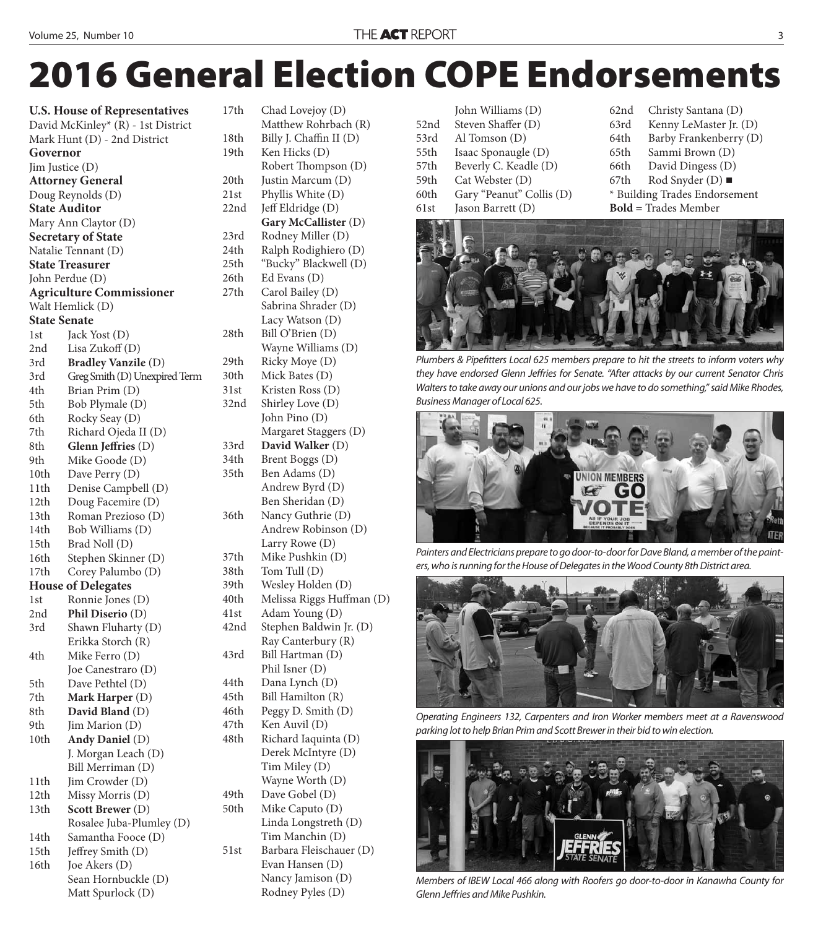## **2016 General Election COPE Endorsements**

| <b>U.S. House of Representatives</b> |                                          |
|--------------------------------------|------------------------------------------|
| David McKinley* (R) - 1st District   |                                          |
|                                      | Mark Hunt (D) - 2nd District             |
| Governor                             |                                          |
| Jim Justice (D)                      |                                          |
|                                      | <b>Attorney General</b>                  |
|                                      | Doug Reynolds (D)                        |
| <b>State Auditor</b>                 |                                          |
| Mary Ann Claytor (D)                 |                                          |
|                                      | <b>Secretary of State</b>                |
|                                      | Natalie Tennant (D)                      |
|                                      | <b>State Treasurer</b>                   |
|                                      | John Perdue (D)                          |
|                                      | <b>Agriculture Commissioner</b>          |
|                                      | Walt Hemlick (D)                         |
| <b>State Senate</b>                  |                                          |
| 1st                                  | Jack Yost (D)                            |
| 2nd                                  | Lisa Zukoff (D)                          |
| 3rd                                  | <b>Bradley Vanzile (D)</b>               |
| 3rd                                  | Greg Smith (D) Unexpired Term            |
| 4th                                  | Brian Prim (D)                           |
| 5th                                  | Bob Plymale (D)                          |
| 6th                                  | Rocky Seay (D)                           |
| 7th                                  | Richard Ojeda II (D)                     |
| 8th                                  | Glenn Jeffries (D)                       |
| 9th                                  | Mike Goode (D)                           |
| 10th                                 | Dave Perry (D)                           |
| 11th                                 | Denise Campbell (D)                      |
| 12th                                 | Doug Facemire (D)                        |
| 13th                                 | Roman Prezioso (D)                       |
| 14th                                 | Bob Williams (D)                         |
| 15th                                 | Brad Noll (D)                            |
| 16th                                 | Stephen Skinner (D)                      |
| 17th                                 | Corey Palumbo (D)                        |
|                                      | <b>House of Delegates</b>                |
| 1st                                  | Ronnie Jones (D)                         |
| 2nd                                  | Phil Diserio (D)                         |
| 3rd                                  | Shawn Fluharty (D)                       |
|                                      | Erikka Storch (R)                        |
| 4th                                  | Mike Ferro (D)                           |
|                                      | Joe Canestraro (D)                       |
| 5th                                  | Dave Pethtel (D)                         |
| 7th                                  | Mark Harper (D)                          |
| 8th                                  | David Bland (D)                          |
| 9th                                  | Jim Marion (D)                           |
| 10th                                 | Andy Daniel (D)                          |
|                                      | J. Morgan Leach (D)<br>Bill Merriman (D) |
| 11th                                 | Jim Crowder (D)                          |
| 12th                                 | Missy Morris (D)                         |
| 13th                                 | <b>Scott Brewer</b> (D)                  |
|                                      | Rosalee Juba-Plumley (D)                 |
| 14th                                 | Samantha Fooce (D)                       |
| 15th                                 | Jeffrey Smith (D)                        |
| 16th                                 | Joe Akers (D)                            |
|                                      | Sean Hornbuckle (D)                      |
|                                      | Matt Spurlock (D)                        |

17th Chad Lovejoy (D) Matthew Rohrbach (R) 18th Billy J. Chaffin II (D) 19th Ken Hicks (D) Robert Thompson (D) 20th Justin Marcum (D) 21st Phyllis White (D) 22nd Jeff Eldridge (D) **Gary McCallister** (D) 23rd Rodney Miller (D) 24th Ralph Rodighiero (D) 25th "Bucky" Blackwell (D) 26th Ed Evans (D) 27th Carol Bailey (D) Sabrina Shrader (D) Lacy Watson (D) 28th Bill O'Brien (D) Wayne Williams (D) 29th Ricky Moye (D) 30th Mick Bates (D) 31st Kristen Ross (D) 32nd Shirley Love (D) John Pino (D) Margaret Staggers (D) 33rd **David Walker** (D) 34th Brent Boggs (D) 35th Ben Adams (D) Andrew Byrd (D) Ben Sheridan (D) 36th Nancy Guthrie (D) Andrew Robinson (D) Larry Rowe (D) 37th Mike Pushkin (D) 38th Tom Tull (D) 39th Wesley Holden (D) 40th Melissa Riggs Huffman (D) 41st Adam Young (D) 42nd Stephen Baldwin Jr. (D) Ray Canterbury (R) 43rd Bill Hartman (D) Phil Isner (D) 44th Dana Lynch (D) 45th Bill Hamilton (R) 46th Peggy D. Smith (D) 47th Ken Auvil (D) 48th Richard Iaquinta (D) Derek McIntyre (D) Tim Miley (D) Wayne Worth (D) 49th Dave Gobel (D) 50th Mike Caputo (D) Linda Longstreth (D) Tim Manchin (D) 51st Barbara Fleischauer (D) Evan Hansen (D) Nancy Jamison (D)

Rodney Pyles (D)

 John Williams (D) 52nd Steven Shaffer (D) 53rd Al Tomson (D) 55th Isaac Sponaugle (D) 57th Beverly C. Keadle (D) 59th Cat Webster (D) 60th Gary "Peanut" Collis (D) 61st Jason Barrett (D)

62nd Christy Santana (D) 63rd Kenny LeMaster Jr. (D) 64th Barby Frankenberry (D) 65th Sammi Brown (D) 66th David Dingess (D) 67th Rod Snyder (D)  $\blacksquare$ \* Building Trades Endorsement **Bold** = Trades Member



Plumbers & Pipefitters Local 625 members prepare to hit the streets to inform voters why they have endorsed Glenn Jeffries for Senate. "After attacks by our current Senator Chris Walters to take away our unions and our jobs we have to do something," said Mike Rhodes, Business Manager of Local 625.



Painters and Electricians prepare to go door-to-door for Dave Bland, a member of the painters, who is running for the House of Delegates in the Wood County 8th District area.



Operating Engineers 132, Carpenters and Iron Worker members meet at a Ravenswood parking lot to help Brian Prim and Scott Brewer in their bid to win election.



Members of IBEW Local 466 along with Roofers go door-to-door in Kanawha County for Glenn Jeffries and Mike Pushkin.